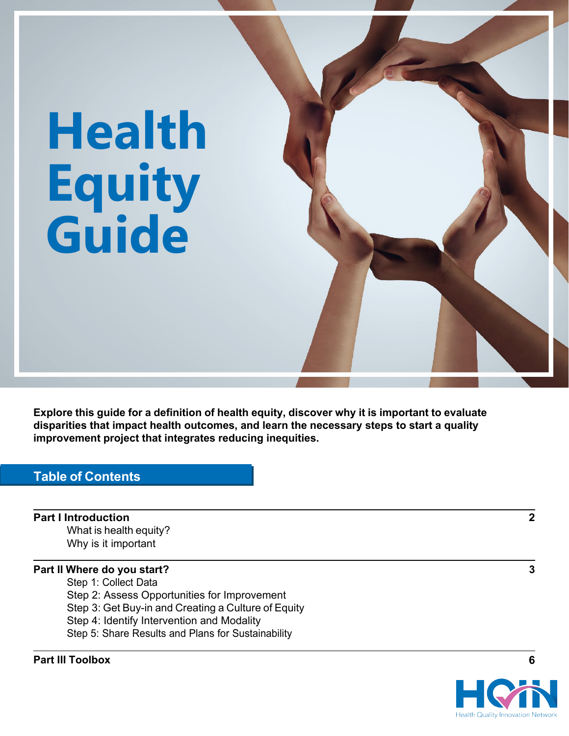# **Health Equity Guide**

**Explore this guide for a definition of health equity, discover why it is important to evaluate disparities that impact health outcomes, and learn the necessary steps to start a quality improvement project that integrates reducing inequities.**

## **Table of Contents**

**Part I Introduction 2** What is health equity? Why is it important

#### **Part II Where do you start? 3**

- Step 1: Collect Data
- Step 2: Assess Opportunities for Improvement
- Step 3: Get Buy-in and Creating a Culture of Equity
- Step 4: Identify Intervention and Modality
- Step 5: Share Results and Plans for Sustainability

#### **Part III Toolbox 6**

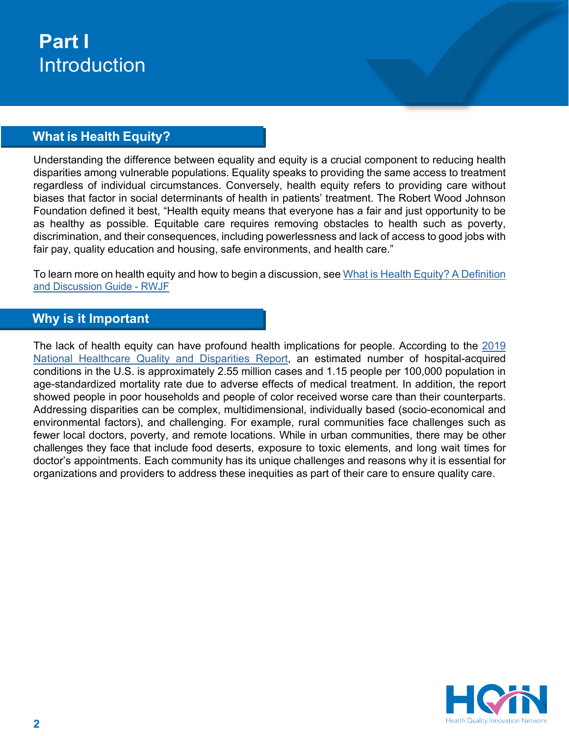# **Part I** Introduction

# **What is Health Equity?**

Understanding the difference between equality and equity is a crucial component to reducing health disparities among vulnerable populations. Equality speaks to providing the same access to treatment regardless of individual circumstances. Conversely, health equity refers to providing care without biases that factor in social determinants of health in patients' treatment. The Robert Wood Johnson Foundation defined it best, "Health equity means that everyone has a fair and just opportunity to be as healthy as possible. Equitable care requires removing obstacles to health such as poverty, discrimination, and their consequences, including powerlessness and lack of access to good jobs with fair pay, quality education and housing, safe environments, and health care."

To [learn more on](https://www.rwjf.org/en/library/research/2017/05/what-is-health-equity-.html#%3A%7E%3Atext%3DWhat%20is%20health%20equity%3F%20In%20a%20report%20designed%2Cjust%20opportunity%20to%20be%20as%20healthy%20as%20possible) health equity and how to begin a discussion, see What is Health [Equity? A Definition](https://www.rwjf.org/en/library/research/2017/05/what-is-health-equity-.html#%3A%7E%3Atext%3DWhat%20is%20health%20equity%3F%20In%20a%20report%20designed%2Cjust%20opportunity%20to%20be%20as%20healthy%20as%20possible) and Discussion Guide - RWJF

## **Why is it Important**

The lack of health equity can have profound health implications for people. According to the [2019](https://www.ahrq.gov/sites/default/files/wysiwyg/research/findings/nhqrdr/chartbooks/patientsafety/2019qdr-patient-safety-chartbook.pdf) [National Healthcare Quality and Disparities](https://www.ahrq.gov/sites/default/files/wysiwyg/research/findings/nhqrdr/chartbooks/patientsafety/2019qdr-patient-safety-chartbook.pdf) [Report,](https://www.ahrq.gov/sites/default/files/wysiwyg/research/findings/nhqrdr/chartbooks/patientsafety/2019qdr-patient-safety-chartbook.pdf) an estimated number of hospital-acquired conditions in the U.S. is approximately 2.55 million cases and 1.15 people per 100,000 population in age-standardized mortality rate due to adverse effects of medical treatment. In addition, the report showed people in poor households and people of color received worse care than their counterparts. Addressing disparities can be complex, multidimensional, individually based (socio-economical and environmental factors), and challenging. For example, rural communities face challenges such as fewer local doctors, poverty, and remote locations. While in urban communities, there may be other challenges they face that include food deserts, exposure to toxic elements, and long wait times for doctor's appointments. Each community has its unique challenges and reasons why it is essential for organizations and providers to address these inequities as part of their care to ensure quality care.

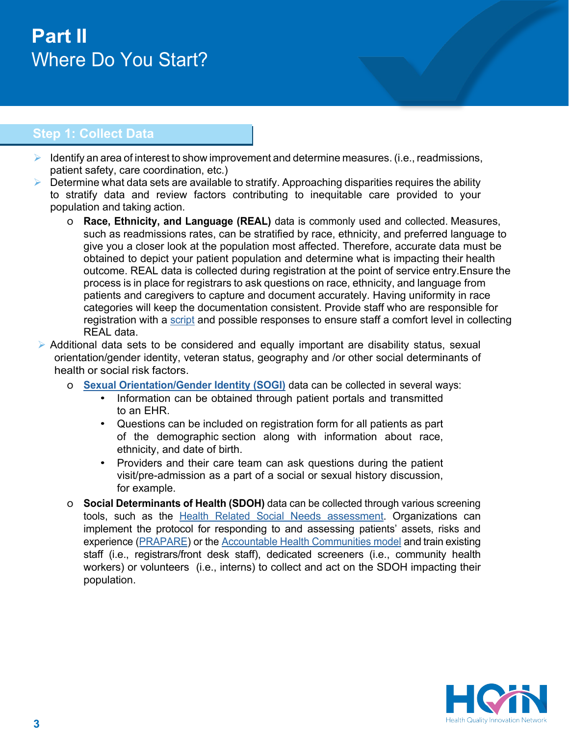# **Part II** Where Do You Start?

# **Step 1: Collect Data**

- $\triangleright$  Identify an area of interest to show improvement and determine measures. (i.e., readmissions, patient safety, care coordination, etc.)
- $\triangleright$  Determine what data sets are available to stratify. Approaching disparities requires the ability to stratify data and review factors contributing to inequitable care provided to your population and taking action.
	- o **Race, Ethnicity, and Language (REAL)** data is commonly used and collected. Measures, such as readmissions rates, can be stratified by race, ethnicity, and preferred language to give you a closer look at the population most affected. Therefore, accurate data must be obtained to depict your patient population and determine what is impacting their health outcome. REAL data is collected during registration at the point of service entry. Ensure the process is in place for registrars to ask questions on race, ethnicity, and language from patients and caregivers to capture and document accurately. Having uniformity in race categories will keep the documentation consistent. Provide staff who are responsible for registration with a [script](https://hqin.org/resource/real-data-collection-script-and-definition/) and possible responses to ensure staff a comfort level in collecting REAL data.
- $\triangleright$  Additional data sets to be considered and equally important are disability status, sexual orientation/gender identity, veteran status, geography and /or other social determinants of health or social risk factors.
	- o **[Sexual Orientation/Gender Identity \(SOGI\)](http://glma.org/_data/n_0001/resources/live/GLMA%20guidelines%202006%20FINAL.pdf)** data can be collected in several ways:
		- Information can be obtained through patient portals and transmitted to an EHR.
		- Questions can be included on registration form for all patients as part of the demographic section along with information about race, ethnicity, and date of birth.
		- Providers and their care team can ask questions during the patient visit/pre-admission as a part of a social or sexual history discussion, for example.
	- o **Social Determinants of Health (SDOH)** data can be collected through various screening tools, such as the **Health [Related](https://innovation.cms.gov/files/worksheets/ahcm-screeningtool.pdf) Social Needs assessment**. Organizations can implement the protocol for responding to and assessing patients' assets, risks and experience [\(PRAPARE\)](https://www.nachc.org/research-and-data/prapare/toolkit/) or the [Accountable Health Communities model](https://innovation.cms.gov/media/document/ahcm-screeningtool-companion) and train existing staff (i.e., registrars/front desk staff), dedicated screeners (i.e., community health workers) or volunteers (i.e., interns) to collect and act on the SDOH impacting their population.

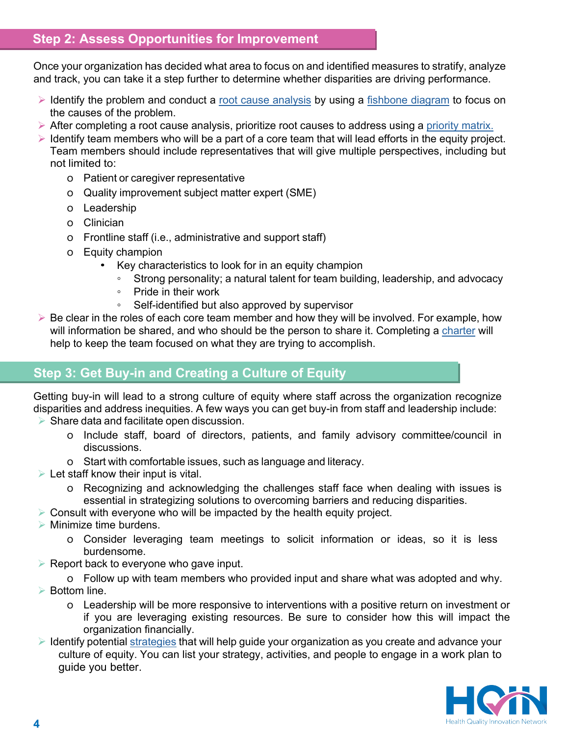## **Step 2: Assess Opportunities for Improvement**

Once your organization has decided what area to focus on and identified measures to stratify, analyze and track, you can take it a step further to determine whether disparities are driving performance.

- $\triangleright$  Identify the problem and conduct a [root cause analysis](https://www.cms.gov/Medicare/Provider-Enrollment-and-Certification/QAPI/Downloads/FishboneRevised.pdf#%3A%7E%3Atext%3DUse%20the%20fishbone%20diagram%20tool%20to%20keep%20the%2Cthat%20you%20can%20add%20minor%20detailed%20causes%20later) by using a [fishbone diagram](https://hqin.org/wp-content/uploads/2021/05/HQIN-Fishbone-Diagram_508-1.pdf) to focus on the causes of the problem.
- $\triangleright$  After completing a root cause analysis, prioritize root causes to address using a [priority matrix.](https://hqin.org/wp-content/uploads/2021/10/Priority-Matrix_508.pdf)
- $\triangleright$  Identify team members who will be a part of a core team that will lead efforts in the equity project. Team members should include representatives that will give multiple perspectives, including but not limited to:
	- o Patient or caregiver representative
	- o Quality improvement subject matter expert (SME)
	- o Leadership
	- o Clinician
	- o Frontline staff (i.e., administrative and support staff)
	- o Equity champion
		- Key characteristics to look for in an equity champion
			- Strong personality; a natural talent for team building, leadership, and advocacy
			- Pride in their work
			- Self-identified but also approved by supervisor
- $\triangleright$  Be clear in the roles of each core team member and how they will be involved. For example, how will information be shared, and who should be the person to share it. Completing a [charter](https://hqin.org/resource/performance-improvement-project-charter/) will help to keep the team focused on what they are trying to accomplish.

## **Step 3: Get Buy-in and Creating a Culture of Equity**

Getting buy-in will lead to a strong culture of equity where staff across the organization recognize disparities and address inequities. A few ways you can get buy-in from staff and leadership include:

- $\triangleright$  Share data and facilitate open discussion.
	- o Include staff, board of directors, patients, and family advisory committee/council in discussions.
	- o Start with comfortable issues, such as language and literacy.
- $\triangleright$  Let staff know their input is vital.
	- o Recognizing and acknowledging the challenges staff face when dealing with issues is essential in strategizing solutions to overcoming barriers and reducing disparities.
- $\triangleright$  Consult with everyone who will be impacted by the health equity project.
- $\triangleright$  Minimize time burdens.
	- o Consider leveraging team meetings to solicit information or ideas, so it is less burdensome.
- $\triangleright$  Report back to everyone who gave input.
- o Follow up with team members who provided input and share what was adopted and why. ▶ Bottom line.
	- o Leadership will be more responsive to interventions with a positive return on investment or if you are leveraging existing resources. Be sure to consider how this will impact the organization financially.
- $\triangleright$  Identify potential [strategies](https://hqin.org/resource/creating-a-culture-of-equity-work-plan/) that will help guide your organization as you create and advance your culture of equity. You can list your strategy, activities, and people to engage in a work plan to guide you better.

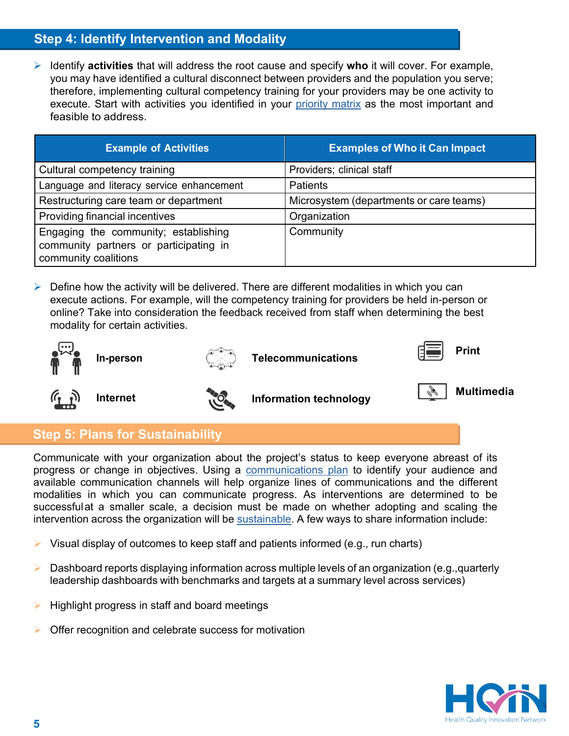# **Step 4: Identify Intervention and Modality**

 Identify **activities** that will address the root cause and specify **who** it will cover. For example, you may have identified a cultural disconnect between providers and the population you serve; therefore, implementing cultural competency training for your providers may be one activity to execute. Start with activities you identified in your [priority matrix](https://hqin.org/resource/priority-matrix/) as the most important and feasible to address.

| <b>Example of Activities</b>                                                                           | <b>Examples of Who it Can Impact</b>    |
|--------------------------------------------------------------------------------------------------------|-----------------------------------------|
| Cultural competency training                                                                           | Providers; clinical staff               |
| Language and literacy service enhancement                                                              | <b>Patients</b>                         |
| Restructuring care team or department                                                                  | Microsystem (departments or care teams) |
| Providing financial incentives                                                                         | Organization                            |
| Engaging the community; establishing<br>community partners or participating in<br>community coalitions | Community                               |

 $\triangleright$  Define how the activity will be delivered. There are different modalities in which you can execute actions. For example, will the competency training for providers be held in-person or online? Take into consideration the feedback received from staff when determining the best modality for certain activities.





```
In-person \left(\begin{matrix} 1 & 0 \\ 0 & 1 \end{matrix}\right) and \left(\begin{matrix} 1 & 0 \\ 0 & 1 \end{matrix}\right) and \left(\begin{matrix} 1 & 0 \\ 0 & 1 \end{matrix}\right) and \left(\begin{matrix} 1 & 0 \\ 0 & 1 \end{matrix}\right) and \left(\begin{matrix} 1 & 0 \\ 0 & 1 \end{matrix}\right) and \left(\begin{matrix} 1 & 0 \\ 0 & 1 \end{matrix}\right) and \left(\begin{matrix} 1 & 0 \\ 0 &
```




**Internet Information** technology **Information I** 

# **Step 5: Plans for Sustainability**

Communicate with your organization about the project's status to keep everyone abreast of its progress or change in objectives. Using a [communications plan](https://hqin.org/resource/communications-plan-worksheet/) to identify your audience and available communication channels will help organize lines of communications and the different modalities in which you can communicate progress. As interventions are determined to be successful at a smaller scale, a decision must be made on whether adopting and scaling the intervention across the organization will be [sustainable.](https://hqin.org/resource/sustainability-decision-guide/) A few ways to share information include:

- Visual display of outcomes to keep staff and patients informed (e.g., run charts)
- $\triangleright$  Dashboard reports displaying information across multiple levels of an organization (e.g.,quarterly leadership dashboards with benchmarks and targets at a summary level across services)
- Highlight progress in staff and board meetings
- Offer recognition and celebrate success for motivation

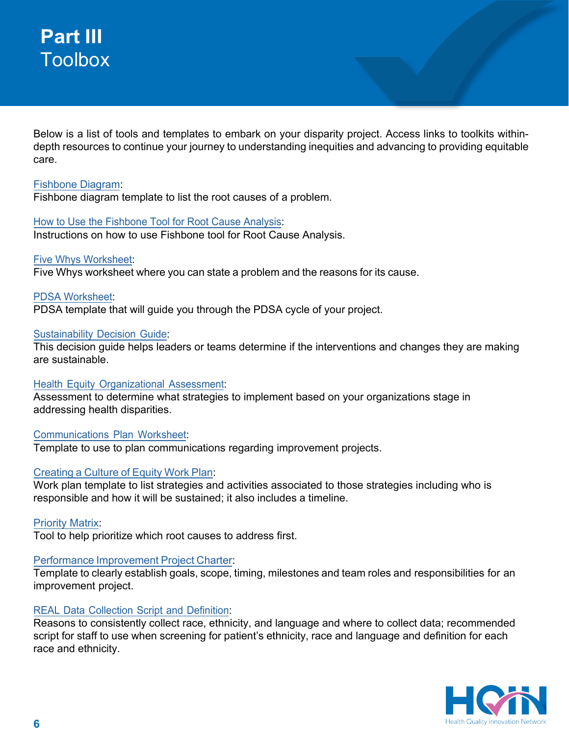# **Part III Toolbox**

Below is a list of tools and templates to embark on your disparity project. Access links to toolkits withindepth resources to continue your journey to understanding inequities and advancing to providing equitable care.

#### [Fishbone Diagram:](https://hqin.org/wp-content/uploads/2021/05/HQIN-Fishbone-Diagram_508-1.pdf)

Fishbone diagram template to list the root causes of a problem.

#### How to Use [the Fishbone Tool](https://www.cms.gov/Medicare/Provider-Enrollment-and-Certification/QAPI/Downloads/FishboneRevised.pdf#%3A%7E%3Atext%3DUse%20the%20fishbone%20diagram%20tool%20to%20keep%20the%2Cthat%20you%20can%20add%20minor%20detailed%20causes%20later) for Root Cause Analysis:

Instructions on how to use Fishbone tool for Root Cause Analysis.

#### Five Whys [Worksheet:](https://hqin.org/wp-content/uploads/2020/07/Five-Whys-Worksheet-508.pdf)

Five Whys worksheet where you can state a problem and the reasons for its cause.

#### PDSA [Worksheet:](https://hqin.org/wp-content/uploads/2021/03/PDSA-Worksheet-508.pdf)

PDSA template that will guide you through the PDSA cycle of your project.

#### [Sustainability](https://hqin.org/resource/sustainability-decision-guide/) Decision Guide:

This decision guide helps leaders or teams determine if the interventions and changes they are making are sustainable.

#### Health Equity [Organizational](https://hqin.org/resource/health-equity-organizational-assessment/) Assessment:

Assessment to determine what strategies to implement based on your organizations stage in addressing health disparities.

#### [Communications](https://hqin.org/resource/communications-plan-worksheet/) Plan Worksheet:

Template to use to plan communications regarding improvement projects.

#### Creating [a Culture](https://hqin.org/resource/creating-a-culture-of-equity-work-plan/) of Equity Work Plan:

Work plan template to list strategies and activities associated to those strategies including who is responsible and how it will be sustained; it also includes a timeline.

[Priority Matrix:](https://hqin.org/resource/priority-matrix/)

Tool to help prioritize which root causes to address first.

#### Performance Improvement [Project Charter:](https://hqin.org/resource/performance-improvement-project-charter/)

Template to clearly establish goals, scope, timing, milestones and team roles and responsibilities for an improvement project.

#### REAL Data Collection Script and [Definition:](https://hqin.org/resource/real-data-collection-script-and-definition/)

Reasons to consistently collect race, ethnicity, and language and where to collect data; recommended script for staff to use when screening for patient's ethnicity, race and language and definition for each race and ethnicity.